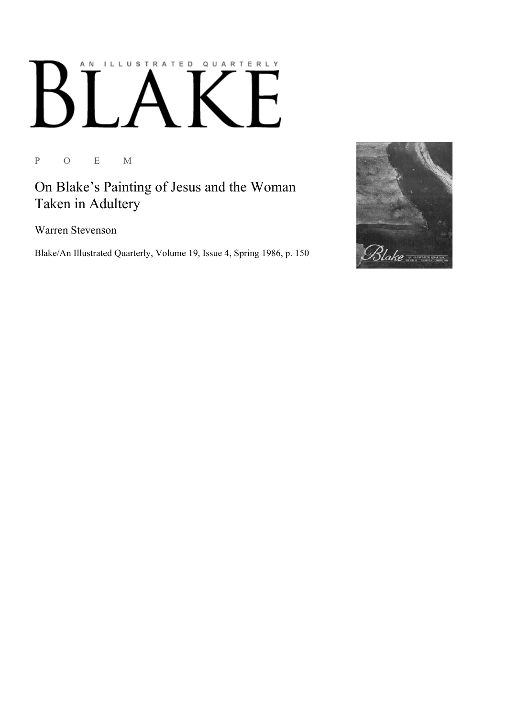## AN ILLUSTRATED QUARTERLY  $\begin{bmatrix} 1 & 1 \end{bmatrix}$  $\mathsf{B}$  $\mathsf{H}$

P O E M

On Blake's Painting of Jesus and the Woman Taken in Adultery

Warren Stevenson

Blake/An Illustrated Quarterly, Volume 19, Issue 4, Spring 1986, p. 150